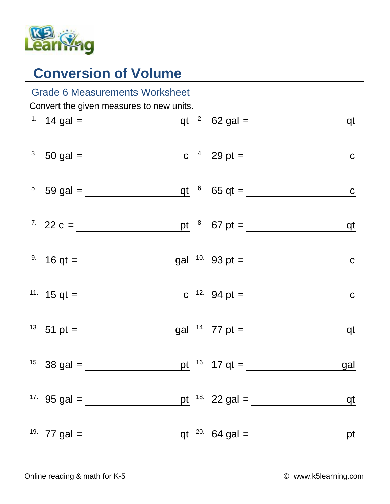

## **Conversion of Volume**

| <b>Grade 6 Measurements Worksheet</b>    |                                                                                                                                 |  |  |                         |              |  |  |  |  |
|------------------------------------------|---------------------------------------------------------------------------------------------------------------------------------|--|--|-------------------------|--------------|--|--|--|--|
| Convert the given measures to new units. |                                                                                                                                 |  |  |                         |              |  |  |  |  |
|                                          |                                                                                                                                 |  |  |                         | <u>qt</u>    |  |  |  |  |
|                                          | <sup>3</sup> 50 gal = <u>c</u> <sup>4</sup> 29 pt = <u>c</u>                                                                    |  |  |                         |              |  |  |  |  |
|                                          | <sup>5.</sup> 59 gal = $q t$ <sup>6.</sup> 65 qt =                                                                              |  |  |                         | $\mathbf{C}$ |  |  |  |  |
|                                          |                                                                                                                                 |  |  |                         |              |  |  |  |  |
|                                          | <sup>9.</sup> 16 qt = $\frac{gal}{cm}$ <sup>10.</sup> 93 pt = $\frac{gal}{cm}$                                                  |  |  |                         | $\mathbf{C}$ |  |  |  |  |
|                                          | <sup>11.</sup> 15 qt = <u>c</u> <sup>12.</sup> 94 pt = <u>c</u> <sup>12.</sup> 94 pt = <u>c</u> <sup>12.</sup> 94 pt = <u>c</u> |  |  |                         | $\mathbf C$  |  |  |  |  |
|                                          | <sup>13.</sup> 51 pt = $\frac{\text{gal}}{\text{gal}}$ <sup>14.</sup> 77 pt = $\frac{\text{gal}}{\text{gal}}$                   |  |  |                         | <u>qt</u>    |  |  |  |  |
|                                          |                                                                                                                                 |  |  | pt $16.17 \text{ qt} =$ | gal          |  |  |  |  |
|                                          | <sup>17.</sup> 95 gal = $\frac{ }{ }$                                                                                           |  |  | pt $18.22$ gal =        | qt           |  |  |  |  |
|                                          | <sup>19.</sup> 77 gal = $\frac{ }{ }$                                                                                           |  |  | qt $^{20}$ 64 gal =     | pt           |  |  |  |  |